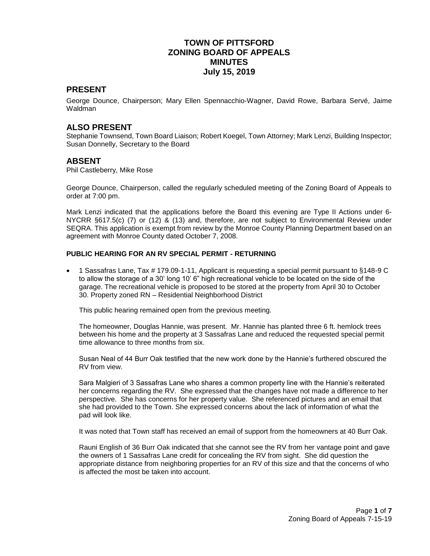## **TOWN OF PITTSFORD ZONING BOARD OF APPEALS MINUTES July 15, 2019**

#### **PRESENT**

George Dounce, Chairperson; Mary Ellen Spennacchio-Wagner, David Rowe, Barbara Servé, Jaime Waldman

#### **ALSO PRESENT**

Stephanie Townsend, Town Board Liaison; Robert Koegel, Town Attorney; Mark Lenzi, Building Inspector; Susan Donnelly, Secretary to the Board

#### **ABSENT**

Phil Castleberry, Mike Rose

George Dounce, Chairperson, called the regularly scheduled meeting of the Zoning Board of Appeals to order at 7:00 pm.

Mark Lenzi indicated that the applications before the Board this evening are Type II Actions under 6- NYCRR §617.5(c) (7) or (12) & (13) and, therefore, are not subject to Environmental Review under SEQRA. This application is exempt from review by the Monroe County Planning Department based on an agreement with Monroe County dated October 7, 2008.

#### **PUBLIC HEARING FOR AN RV SPECIAL PERMIT - RETURNING**

 1 Sassafras Lane, Tax # 179.09-1-11, Applicant is requesting a special permit pursuant to §148-9 C to allow the storage of a 30' long 10' 6" high recreational vehicle to be located on the side of the garage. The recreational vehicle is proposed to be stored at the property from April 30 to October 30. Property zoned RN – Residential Neighborhood District

This public hearing remained open from the previous meeting.

The homeowner, Douglas Hannie, was present. Mr. Hannie has planted three 6 ft. hemlock trees between his home and the property at 3 Sassafras Lane and reduced the requested special permit time allowance to three months from six.

Susan Neal of 44 Burr Oak testified that the new work done by the Hannie's furthered obscured the RV from view.

Sara Malgieri of 3 Sassafras Lane who shares a common property line with the Hannie's reiterated her concerns regarding the RV. She expressed that the changes have not made a difference to her perspective. She has concerns for her property value. She referenced pictures and an email that she had provided to the Town. She expressed concerns about the lack of information of what the pad will look like.

It was noted that Town staff has received an email of support from the homeowners at 40 Burr Oak.

Rauni English of 36 Burr Oak indicated that she cannot see the RV from her vantage point and gave the owners of 1 Sassafras Lane credit for concealing the RV from sight. She did question the appropriate distance from neighboring properties for an RV of this size and that the concerns of who is affected the most be taken into account.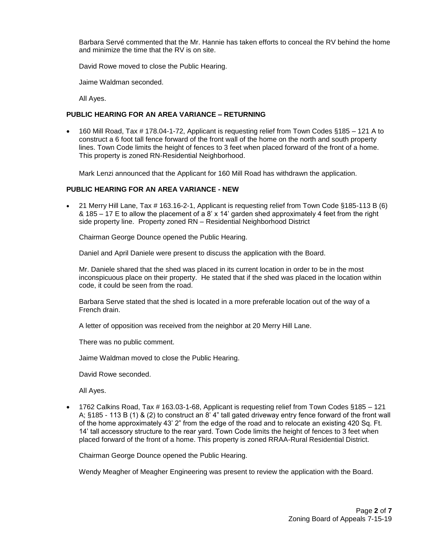Barbara Servé commented that the Mr. Hannie has taken efforts to conceal the RV behind the home and minimize the time that the RV is on site.

David Rowe moved to close the Public Hearing.

Jaime Waldman seconded.

All Ayes.

#### **PUBLIC HEARING FOR AN AREA VARIANCE – RETURNING**

 160 Mill Road, Tax # 178.04-1-72, Applicant is requesting relief from Town Codes §185 – 121 A to construct a 6 foot tall fence forward of the front wall of the home on the north and south property lines. Town Code limits the height of fences to 3 feet when placed forward of the front of a home. This property is zoned RN-Residential Neighborhood.

Mark Lenzi announced that the Applicant for 160 Mill Road has withdrawn the application.

#### **PUBLIC HEARING FOR AN AREA VARIANCE - NEW**

 21 Merry Hill Lane, Tax # 163.16-2-1, Applicant is requesting relief from Town Code §185-113 B (6) & 185 – 17 E to allow the placement of a 8' x 14' garden shed approximately 4 feet from the right side property line. Property zoned RN – Residential Neighborhood District

Chairman George Dounce opened the Public Hearing.

Daniel and April Daniele were present to discuss the application with the Board.

Mr. Daniele shared that the shed was placed in its current location in order to be in the most inconspicuous place on their property. He stated that if the shed was placed in the location within code, it could be seen from the road.

Barbara Serve stated that the shed is located in a more preferable location out of the way of a French drain.

A letter of opposition was received from the neighbor at 20 Merry Hill Lane.

There was no public comment.

Jaime Waldman moved to close the Public Hearing.

David Rowe seconded.

All Ayes.

 1762 Calkins Road, Tax # 163.03-1-68, Applicant is requesting relief from Town Codes §185 – 121 A; §185 - 113 B (1) & (2) to construct an 8' 4" tall gated driveway entry fence forward of the front wall of the home approximately 43' 2" from the edge of the road and to relocate an existing 420 Sq. Ft. 14' tall accessory structure to the rear yard. Town Code limits the height of fences to 3 feet when placed forward of the front of a home. This property is zoned RRAA-Rural Residential District.

Chairman George Dounce opened the Public Hearing.

Wendy Meagher of Meagher Engineering was present to review the application with the Board.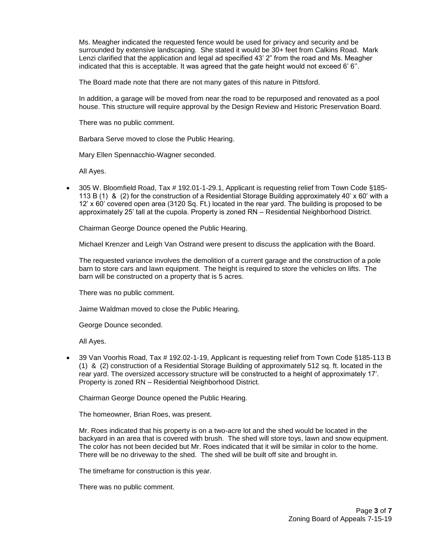Ms. Meagher indicated the requested fence would be used for privacy and security and be surrounded by extensive landscaping. She stated it would be 30+ feet from Calkins Road. Mark Lenzi clarified that the application and legal ad specified 43' 2" from the road and Ms. Meagher indicated that this is acceptable. It was agreed that the gate height would not exceed 6' 6''.

The Board made note that there are not many gates of this nature in Pittsford.

In addition, a garage will be moved from near the road to be repurposed and renovated as a pool house. This structure will require approval by the Design Review and Historic Preservation Board.

There was no public comment.

Barbara Serve moved to close the Public Hearing.

Mary Ellen Spennacchio-Wagner seconded.

All Ayes.

 305 W. Bloomfield Road, Tax # 192.01-1-29.1, Applicant is requesting relief from Town Code §185- 113 B (1) & (2) for the construction of a Residential Storage Building approximately 40' x 60' with a 12' x 60' covered open area (3120 Sq. Ft.) located in the rear yard. The building is proposed to be approximately 25' tall at the cupola. Property is zoned RN – Residential Neighborhood District.

Chairman George Dounce opened the Public Hearing.

Michael Krenzer and Leigh Van Ostrand were present to discuss the application with the Board.

The requested variance involves the demolition of a current garage and the construction of a pole barn to store cars and lawn equipment. The height is required to store the vehicles on lifts. The barn will be constructed on a property that is 5 acres.

There was no public comment.

Jaime Waldman moved to close the Public Hearing.

George Dounce seconded.

All Ayes.

 39 Van Voorhis Road, Tax # 192.02-1-19, Applicant is requesting relief from Town Code §185-113 B (1) & (2) construction of a Residential Storage Building of approximately 512 sq. ft. located in the rear yard. The oversized accessory structure will be constructed to a height of approximately 17'. Property is zoned RN – Residential Neighborhood District.

Chairman George Dounce opened the Public Hearing.

The homeowner, Brian Roes, was present.

Mr. Roes indicated that his property is on a two-acre lot and the shed would be located in the backyard in an area that is covered with brush. The shed will store toys, lawn and snow equipment. The color has not been decided but Mr. Roes indicated that it will be similar in color to the home. There will be no driveway to the shed. The shed will be built off site and brought in.

The timeframe for construction is this year.

There was no public comment.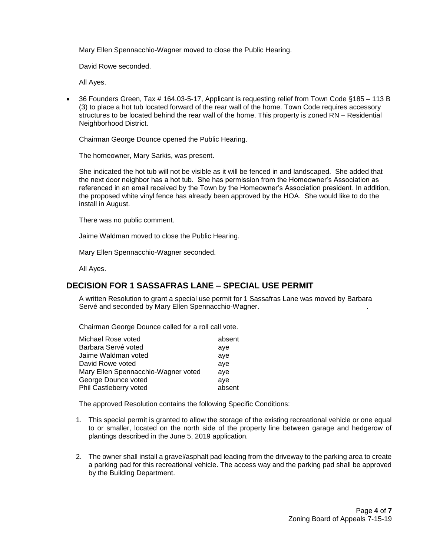Mary Ellen Spennacchio-Wagner moved to close the Public Hearing.

David Rowe seconded.

All Ayes.

 36 Founders Green, Tax # 164.03-5-17, Applicant is requesting relief from Town Code §185 – 113 B (3) to place a hot tub located forward of the rear wall of the home. Town Code requires accessory structures to be located behind the rear wall of the home. This property is zoned RN – Residential Neighborhood District.

Chairman George Dounce opened the Public Hearing.

The homeowner, Mary Sarkis, was present.

She indicated the hot tub will not be visible as it will be fenced in and landscaped. She added that the next door neighbor has a hot tub. She has permission from the Homeowner's Association as referenced in an email received by the Town by the Homeowner's Association president. In addition, the proposed white vinyl fence has already been approved by the HOA. She would like to do the install in August.

There was no public comment.

Jaime Waldman moved to close the Public Hearing.

Mary Ellen Spennacchio-Wagner seconded.

All Ayes.

## **DECISION FOR 1 SASSAFRAS LANE – SPECIAL USE PERMIT**

A written Resolution to grant a special use permit for 1 Sassafras Lane was moved by Barbara Servé and seconded by Mary Ellen Spennacchio-Wagner. .

Chairman George Dounce called for a roll call vote.

| absent |
|--------|
| aye    |
| aye    |
| aye    |
| ave    |
| ave    |
| absent |
|        |

The approved Resolution contains the following Specific Conditions:

- 1. This special permit is granted to allow the storage of the existing recreational vehicle or one equal to or smaller, located on the north side of the property line between garage and hedgerow of plantings described in the June 5, 2019 application.
- 2. The owner shall install a gravel/asphalt pad leading from the driveway to the parking area to create a parking pad for this recreational vehicle. The access way and the parking pad shall be approved by the Building Department.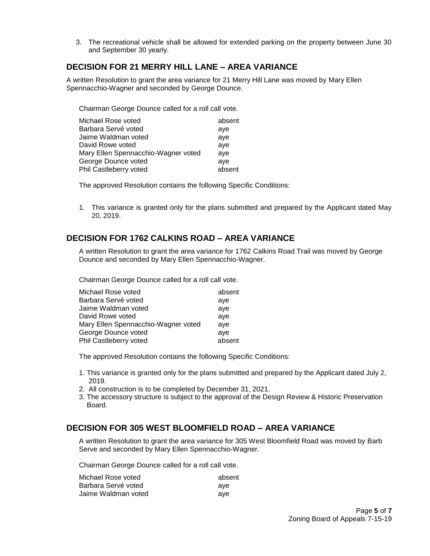3. The recreational vehicle shall be allowed for extended parking on the property between June 30 and September 30 yearly.

#### **DECISION FOR 21 MERRY HILL LANE – AREA VARIANCE**

A written Resolution to grant the area variance for 21 Merry Hill Lane was moved by Mary Ellen Spennacchio-Wagner and seconded by George Dounce.

Chairman George Dounce called for a roll call vote.

| Michael Rose voted                  | absent |
|-------------------------------------|--------|
| Barbara Servé voted                 | aye    |
| Jaime Waldman voted                 | ave    |
| David Rowe voted                    | aye    |
| Mary Ellen Spennacchio-Wagner voted | ave    |
| George Dounce voted                 | ave    |
| Phil Castleberry voted              | absent |

The approved Resolution contains the following Specific Conditions:

1. This variance is granted only for the plans submitted and prepared by the Applicant dated May 20, 2019.

## **DECISION FOR 1762 CALKINS ROAD – AREA VARIANCE**

A written Resolution to grant the area variance for 1762 Calkins Road Trail was moved by George Dounce and seconded by Mary Ellen Spennacchio-Wagner.

Chairman George Dounce called for a roll call vote.

| absent |
|--------|
| aye    |
| aye    |
| aye    |
| aye    |
| ave    |
| absent |
|        |

The approved Resolution contains the following Specific Conditions:

- 1. This variance is granted only for the plans submitted and prepared by the Applicant dated July 2, 2019.
- 2. All construction is to be completed by December 31, 2021.
- 3. The accessory structure is subject to the approval of the Design Review & Historic Preservation Board.

## **DECISION FOR 305 WEST BLOOMFIELD ROAD – AREA VARIANCE**

A written Resolution to grant the area variance for 305 West Bloomfield Road was moved by Barb Serve and seconded by Mary Ellen Spennacchio-Wagner.

Chairman George Dounce called for a roll call vote.

| Michael Rose voted  | absent |
|---------------------|--------|
| Barbara Servé voted | ave    |
| Jaime Waldman voted | ave    |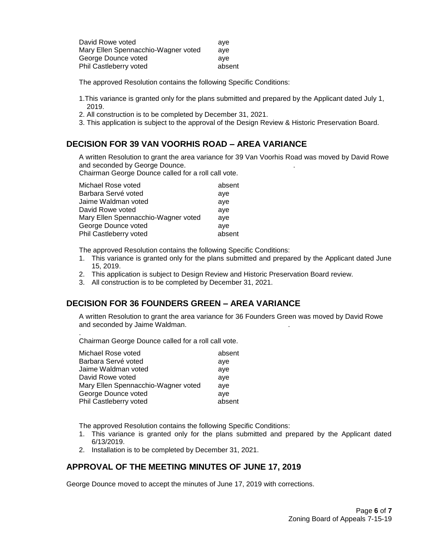| David Rowe voted                    | ave    |
|-------------------------------------|--------|
| Mary Ellen Spennacchio-Wagner voted | ave    |
| George Dounce voted                 | ave    |
| Phil Castleberry voted              | absent |

The approved Resolution contains the following Specific Conditions:

- 1.This variance is granted only for the plans submitted and prepared by the Applicant dated July 1, 2019.
- 2. All construction is to be completed by December 31, 2021.
- 3. This application is subject to the approval of the Design Review & Historic Preservation Board.

# **DECISION FOR 39 VAN VOORHIS ROAD – AREA VARIANCE**

A written Resolution to grant the area variance for 39 Van Voorhis Road was moved by David Rowe and seconded by George Dounce. .

Chairman George Dounce called for a roll call vote.

| Michael Rose voted                  | absent |
|-------------------------------------|--------|
| Barbara Servé voted                 | aye    |
| Jaime Waldman voted                 | aye    |
| David Rowe voted                    | aye    |
| Mary Ellen Spennacchio-Wagner voted | ave    |
| George Dounce voted                 | ave    |
| Phil Castleberry voted              | absent |

The approved Resolution contains the following Specific Conditions:

- 1. This variance is granted only for the plans submitted and prepared by the Applicant dated June 15, 2019.
- 2. This application is subject to Design Review and Historic Preservation Board review.
- 3. All construction is to be completed by December 31, 2021.

## **DECISION FOR 36 FOUNDERS GREEN – AREA VARIANCE**

A written Resolution to grant the area variance for 36 Founders Green was moved by David Rowe and seconded by Jaime Waldman. .

Chairman George Dounce called for a roll call vote.

.

| Michael Rose voted                  | absent |
|-------------------------------------|--------|
| Barbara Servé voted                 | aye    |
| Jaime Waldman voted                 | aye    |
| David Rowe voted                    | aye    |
| Mary Ellen Spennacchio-Wagner voted | ave    |
| George Dounce voted                 | ave    |
| Phil Castleberry voted              | absent |

The approved Resolution contains the following Specific Conditions:

- 1. This variance is granted only for the plans submitted and prepared by the Applicant dated 6/13/2019.
- 2. Installation is to be completed by December 31, 2021.

## **APPROVAL OF THE MEETING MINUTES OF JUNE 17, 2019**

George Dounce moved to accept the minutes of June 17, 2019 with corrections.